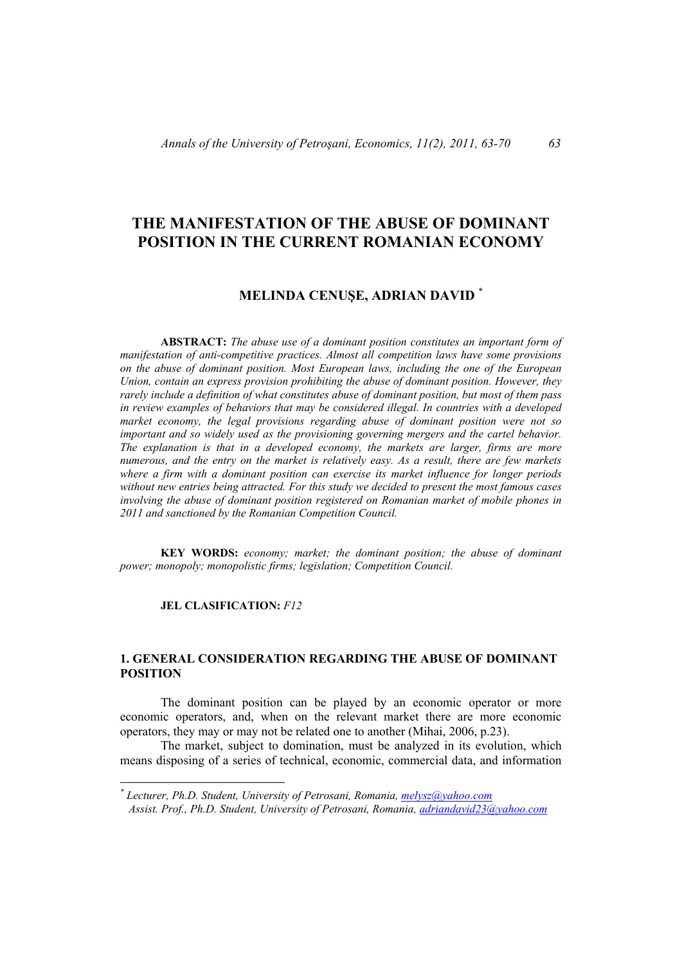# **THE MANIFESTATION OF THE ABUSE OF DOMINANT POSITION IN THE CURRENT ROMANIAN ECONOMY**

# **MELINDA CENUŞE, ADRIAN DAVID** \*

**ABSTRACT:** *The abuse use of a dominant position constitutes an important form of manifestation of anti-competitive practices. Almost all competition laws have some provisions on the abuse of dominant position. Most European laws, including the one of the European Union, contain an express provision prohibiting the abuse of dominant position. However, they rarely include a definition of what constitutes abuse of dominant position, but most of them pass in review examples of behaviors that may be considered illegal. In countries with a developed market economy, the legal provisions regarding abuse of dominant position were not so important and so widely used as the provisioning governing mergers and the cartel behavior. The explanation is that in a developed economy, the markets are larger, firms are more numerous, and the entry on the market is relatively easy. As a result, there are few markets where a firm with a dominant position can exercise its market influence for longer periods without new entries being attracted. For this study we decided to present the most famous cases involving the abuse of dominant position registered on Romanian market of mobile phones in 2011 and sanctioned by the Romanian Competition Council.* 

**KEY WORDS:** *economy; market; the dominant position; the abuse of dominant power; monopoly; monopolistic firms; legislation; Competition Council.* 

#### **JEL CLASIFICATION:** *F12*

 $\overline{a}$ 

## **1. GENERAL CONSIDERATION REGARDING THE ABUSE OF DOMINANT POSITION**

The dominant position can be played by an economic operator or more economic operators, and, when on the relevant market there are more economic operators, they may or may not be related one to another (Mihai, 2006, p.23).

The market, subject to domination, must be analyzed in its evolution, which means disposing of a series of technical, economic, commercial data, and information

*<sup>\*</sup> Lecturer, Ph.D. Student, University of Petrosani, Romania, melysz@yahoo.com* 

*Assist. Prof., Ph.D. Student, University of Petrosani, Romania, adriandavid23@yahoo.com*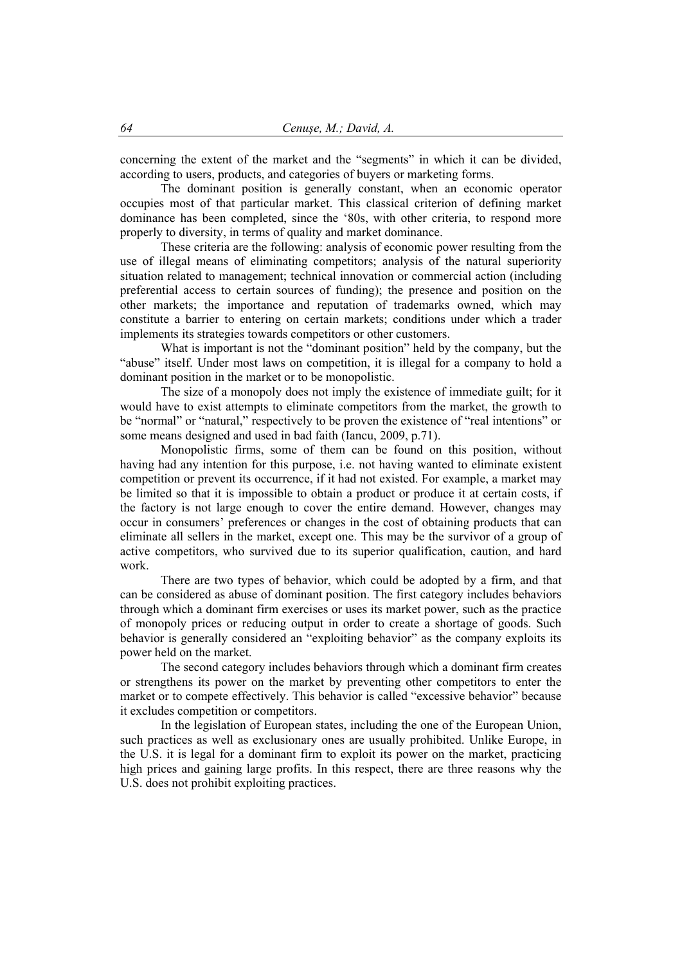concerning the extent of the market and the "segments" in which it can be divided, according to users, products, and categories of buyers or marketing forms.

The dominant position is generally constant, when an economic operator occupies most of that particular market. This classical criterion of defining market dominance has been completed, since the '80s, with other criteria, to respond more properly to diversity, in terms of quality and market dominance.

These criteria are the following: analysis of economic power resulting from the use of illegal means of eliminating competitors; analysis of the natural superiority situation related to management; technical innovation or commercial action (including preferential access to certain sources of funding); the presence and position on the other markets; the importance and reputation of trademarks owned, which may constitute a barrier to entering on certain markets; conditions under which a trader implements its strategies towards competitors or other customers.

What is important is not the "dominant position" held by the company, but the "abuse" itself. Under most laws on competition, it is illegal for a company to hold a dominant position in the market or to be monopolistic.

The size of a monopoly does not imply the existence of immediate guilt; for it would have to exist attempts to eliminate competitors from the market, the growth to be "normal" or "natural," respectively to be proven the existence of "real intentions" or some means designed and used in bad faith (Iancu, 2009, p.71).

Monopolistic firms, some of them can be found on this position, without having had any intention for this purpose, i.e. not having wanted to eliminate existent competition or prevent its occurrence, if it had not existed. For example, a market may be limited so that it is impossible to obtain a product or produce it at certain costs, if the factory is not large enough to cover the entire demand. However, changes may occur in consumers' preferences or changes in the cost of obtaining products that can eliminate all sellers in the market, except one. This may be the survivor of a group of active competitors, who survived due to its superior qualification, caution, and hard work.

There are two types of behavior, which could be adopted by a firm, and that can be considered as abuse of dominant position. The first category includes behaviors through which a dominant firm exercises or uses its market power, such as the practice of monopoly prices or reducing output in order to create a shortage of goods. Such behavior is generally considered an "exploiting behavior" as the company exploits its power held on the market.

The second category includes behaviors through which a dominant firm creates or strengthens its power on the market by preventing other competitors to enter the market or to compete effectively. This behavior is called "excessive behavior" because it excludes competition or competitors.

In the legislation of European states, including the one of the European Union, such practices as well as exclusionary ones are usually prohibited. Unlike Europe, in the U.S. it is legal for a dominant firm to exploit its power on the market, practicing high prices and gaining large profits. In this respect, there are three reasons why the U.S. does not prohibit exploiting practices.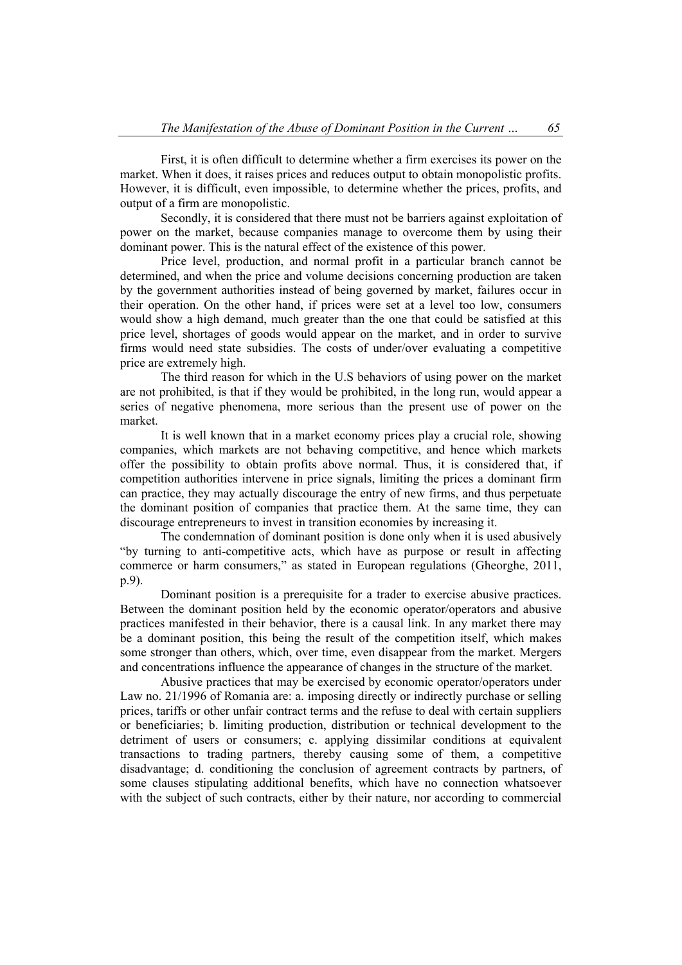First, it is often difficult to determine whether a firm exercises its power on the market. When it does, it raises prices and reduces output to obtain monopolistic profits. However, it is difficult, even impossible, to determine whether the prices, profits, and output of a firm are monopolistic.

Secondly, it is considered that there must not be barriers against exploitation of power on the market, because companies manage to overcome them by using their dominant power. This is the natural effect of the existence of this power.

Price level, production, and normal profit in a particular branch cannot be determined, and when the price and volume decisions concerning production are taken by the government authorities instead of being governed by market, failures occur in their operation. On the other hand, if prices were set at a level too low, consumers would show a high demand, much greater than the one that could be satisfied at this price level, shortages of goods would appear on the market, and in order to survive firms would need state subsidies. The costs of under/over evaluating a competitive price are extremely high.

The third reason for which in the U.S behaviors of using power on the market are not prohibited, is that if they would be prohibited, in the long run, would appear a series of negative phenomena, more serious than the present use of power on the market.

It is well known that in a market economy prices play a crucial role, showing companies, which markets are not behaving competitive, and hence which markets offer the possibility to obtain profits above normal. Thus, it is considered that, if competition authorities intervene in price signals, limiting the prices a dominant firm can practice, they may actually discourage the entry of new firms, and thus perpetuate the dominant position of companies that practice them. At the same time, they can discourage entrepreneurs to invest in transition economies by increasing it.

The condemnation of dominant position is done only when it is used abusively "by turning to anti-competitive acts, which have as purpose or result in affecting commerce or harm consumers," as stated in European regulations (Gheorghe, 2011, p.9).

Dominant position is a prerequisite for a trader to exercise abusive practices. Between the dominant position held by the economic operator/operators and abusive practices manifested in their behavior, there is a causal link. In any market there may be a dominant position, this being the result of the competition itself, which makes some stronger than others, which, over time, even disappear from the market. Mergers and concentrations influence the appearance of changes in the structure of the market.

Abusive practices that may be exercised by economic operator/operators under Law no. 21/1996 of Romania are: a. imposing directly or indirectly purchase or selling prices, tariffs or other unfair contract terms and the refuse to deal with certain suppliers or beneficiaries; b. limiting production, distribution or technical development to the detriment of users or consumers; c. applying dissimilar conditions at equivalent transactions to trading partners, thereby causing some of them, a competitive disadvantage; d. conditioning the conclusion of agreement contracts by partners, of some clauses stipulating additional benefits, which have no connection whatsoever with the subject of such contracts, either by their nature, nor according to commercial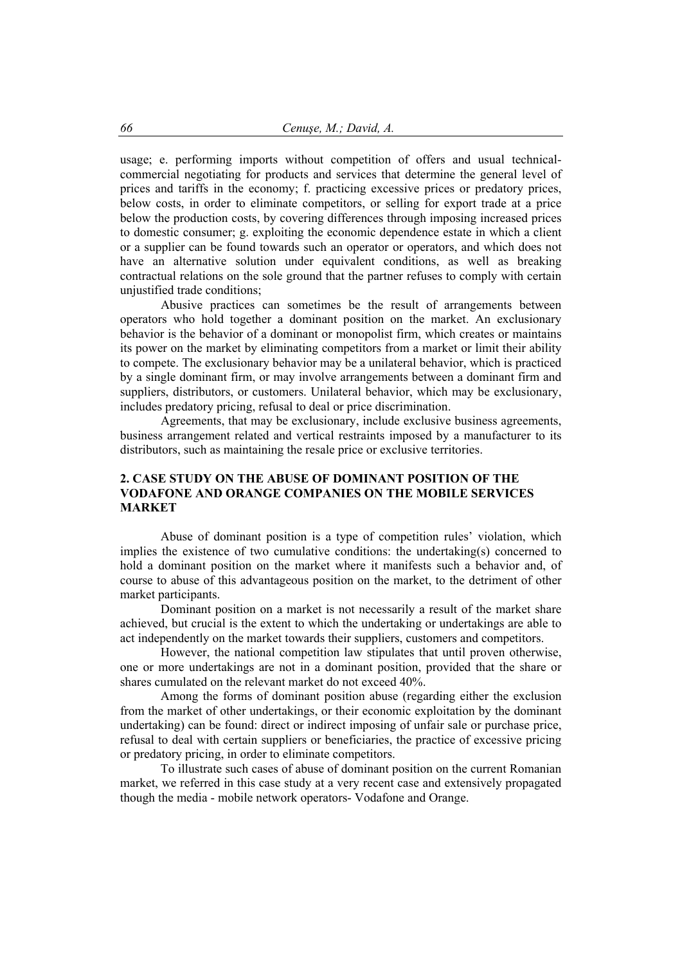usage; e. performing imports without competition of offers and usual technicalcommercial negotiating for products and services that determine the general level of prices and tariffs in the economy; f. practicing excessive prices or predatory prices, below costs, in order to eliminate competitors, or selling for export trade at a price below the production costs, by covering differences through imposing increased prices to domestic consumer; g. exploiting the economic dependence estate in which a client or a supplier can be found towards such an operator or operators, and which does not have an alternative solution under equivalent conditions, as well as breaking contractual relations on the sole ground that the partner refuses to comply with certain unjustified trade conditions;

Abusive practices can sometimes be the result of arrangements between operators who hold together a dominant position on the market. An exclusionary behavior is the behavior of a dominant or monopolist firm, which creates or maintains its power on the market by eliminating competitors from a market or limit their ability to compete. The exclusionary behavior may be a unilateral behavior, which is practiced by a single dominant firm, or may involve arrangements between a dominant firm and suppliers, distributors, or customers. Unilateral behavior, which may be exclusionary, includes predatory pricing, refusal to deal or price discrimination.

Agreements, that may be exclusionary, include exclusive business agreements, business arrangement related and vertical restraints imposed by a manufacturer to its distributors, such as maintaining the resale price or exclusive territories.

## **2. CASE STUDY ON THE ABUSE OF DOMINANT POSITION OF THE VODAFONE AND ORANGE COMPANIES ON THE MOBILE SERVICES MARKET**

Abuse of dominant position is a type of competition rules' violation, which implies the existence of two cumulative conditions: the undertaking(s) concerned to hold a dominant position on the market where it manifests such a behavior and, of course to abuse of this advantageous position on the market, to the detriment of other market participants.

Dominant position on a market is not necessarily a result of the market share achieved, but crucial is the extent to which the undertaking or undertakings are able to act independently on the market towards their suppliers, customers and competitors.

However, the national competition law stipulates that until proven otherwise, one or more undertakings are not in a dominant position, provided that the share or shares cumulated on the relevant market do not exceed 40%.

Among the forms of dominant position abuse (regarding either the exclusion from the market of other undertakings, or their economic exploitation by the dominant undertaking) can be found: direct or indirect imposing of unfair sale or purchase price, refusal to deal with certain suppliers or beneficiaries, the practice of excessive pricing or predatory pricing, in order to eliminate competitors.

To illustrate such cases of abuse of dominant position on the current Romanian market, we referred in this case study at a very recent case and extensively propagated though the media - mobile network operators- Vodafone and Orange.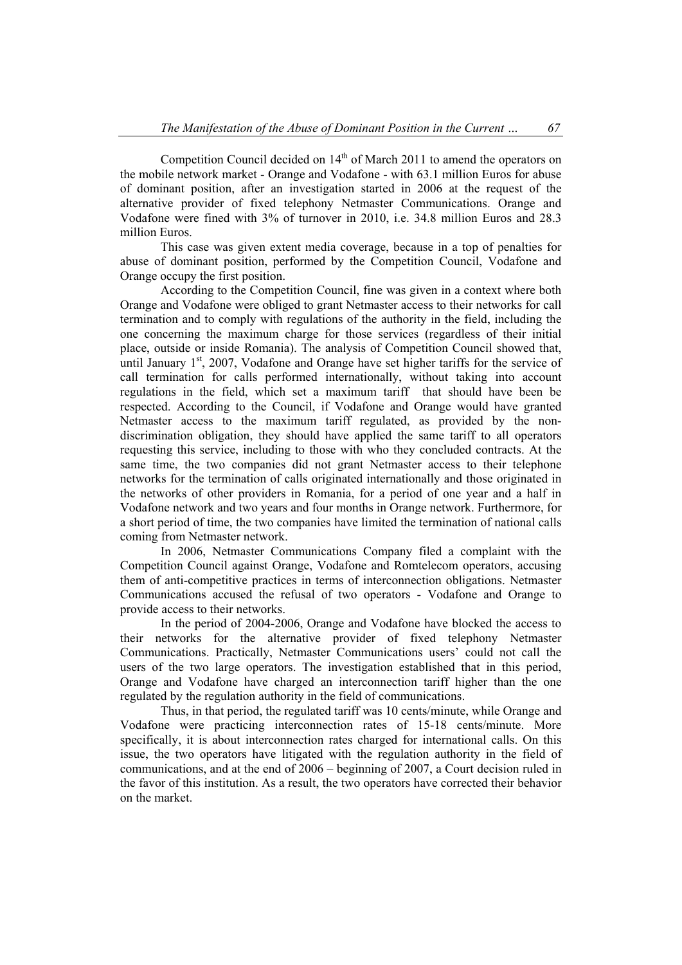Competition Council decided on  $14<sup>th</sup>$  of March 2011 to amend the operators on the mobile network market - Orange and Vodafone - with 63.1 million Euros for abuse of dominant position, after an investigation started in 2006 at the request of the alternative provider of fixed telephony Netmaster Communications. Orange and Vodafone were fined with 3% of turnover in 2010, i.e. 34.8 million Euros and 28.3 million Euros.

This case was given extent media coverage, because in a top of penalties for abuse of dominant position, performed by the Competition Council, Vodafone and Orange occupy the first position.

According to the Competition Council, fine was given in a context where both Orange and Vodafone were obliged to grant Netmaster access to their networks for call termination and to comply with regulations of the authority in the field, including the one concerning the maximum charge for those services (regardless of their initial place, outside or inside Romania). The analysis of Competition Council showed that, until January  $1<sup>st</sup>$ , 2007, Vodafone and Orange have set higher tariffs for the service of call termination for calls performed internationally, without taking into account regulations in the field, which set a maximum tariff that should have been be respected. According to the Council, if Vodafone and Orange would have granted Netmaster access to the maximum tariff regulated, as provided by the nondiscrimination obligation, they should have applied the same tariff to all operators requesting this service, including to those with who they concluded contracts. At the same time, the two companies did not grant Netmaster access to their telephone networks for the termination of calls originated internationally and those originated in the networks of other providers in Romania, for a period of one year and a half in Vodafone network and two years and four months in Orange network. Furthermore, for a short period of time, the two companies have limited the termination of national calls coming from Netmaster network.

In 2006, Netmaster Communications Company filed a complaint with the Competition Council against Orange, Vodafone and Romtelecom operators, accusing them of anti-competitive practices in terms of interconnection obligations. Netmaster Communications accused the refusal of two operators - Vodafone and Orange to provide access to their networks.

In the period of 2004-2006, Orange and Vodafone have blocked the access to their networks for the alternative provider of fixed telephony Netmaster Communications. Practically, Netmaster Communications users' could not call the users of the two large operators. The investigation established that in this period, Orange and Vodafone have charged an interconnection tariff higher than the one regulated by the regulation authority in the field of communications.

Thus, in that period, the regulated tariff was 10 cents/minute, while Orange and Vodafone were practicing interconnection rates of 15-18 cents/minute. More specifically, it is about interconnection rates charged for international calls. On this issue, the two operators have litigated with the regulation authority in the field of communications, and at the end of 2006 – beginning of 2007, a Court decision ruled in the favor of this institution. As a result, the two operators have corrected their behavior on the market.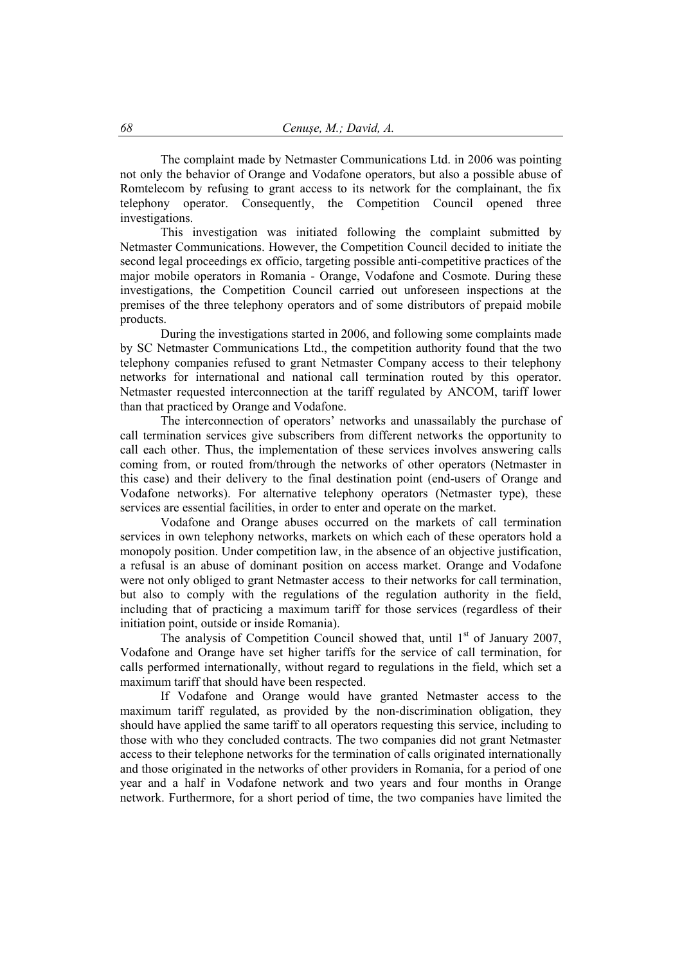The complaint made by Netmaster Communications Ltd. in 2006 was pointing not only the behavior of Orange and Vodafone operators, but also a possible abuse of Romtelecom by refusing to grant access to its network for the complainant, the fix telephony operator. Consequently, the Competition Council opened three investigations.

This investigation was initiated following the complaint submitted by Netmaster Communications. However, the Competition Council decided to initiate the second legal proceedings ex officio, targeting possible anti-competitive practices of the major mobile operators in Romania - Orange, Vodafone and Cosmote. During these investigations, the Competition Council carried out unforeseen inspections at the premises of the three telephony operators and of some distributors of prepaid mobile products.

During the investigations started in 2006, and following some complaints made by SC Netmaster Communications Ltd., the competition authority found that the two telephony companies refused to grant Netmaster Company access to their telephony networks for international and national call termination routed by this operator. Netmaster requested interconnection at the tariff regulated by ANCOM, tariff lower than that practiced by Orange and Vodafone.

The interconnection of operators' networks and unassailably the purchase of call termination services give subscribers from different networks the opportunity to call each other. Thus, the implementation of these services involves answering calls coming from, or routed from/through the networks of other operators (Netmaster in this case) and their delivery to the final destination point (end-users of Orange and Vodafone networks). For alternative telephony operators (Netmaster type), these services are essential facilities, in order to enter and operate on the market.

Vodafone and Orange abuses occurred on the markets of call termination services in own telephony networks, markets on which each of these operators hold a monopoly position. Under competition law, in the absence of an objective justification, a refusal is an abuse of dominant position on access market. Orange and Vodafone were not only obliged to grant Netmaster access to their networks for call termination, but also to comply with the regulations of the regulation authority in the field, including that of practicing a maximum tariff for those services (regardless of their initiation point, outside or inside Romania).

The analysis of Competition Council showed that, until  $1<sup>st</sup>$  of January 2007, Vodafone and Orange have set higher tariffs for the service of call termination, for calls performed internationally, without regard to regulations in the field, which set a maximum tariff that should have been respected.

If Vodafone and Orange would have granted Netmaster access to the maximum tariff regulated, as provided by the non-discrimination obligation, they should have applied the same tariff to all operators requesting this service, including to those with who they concluded contracts. The two companies did not grant Netmaster access to their telephone networks for the termination of calls originated internationally and those originated in the networks of other providers in Romania, for a period of one year and a half in Vodafone network and two years and four months in Orange network. Furthermore, for a short period of time, the two companies have limited the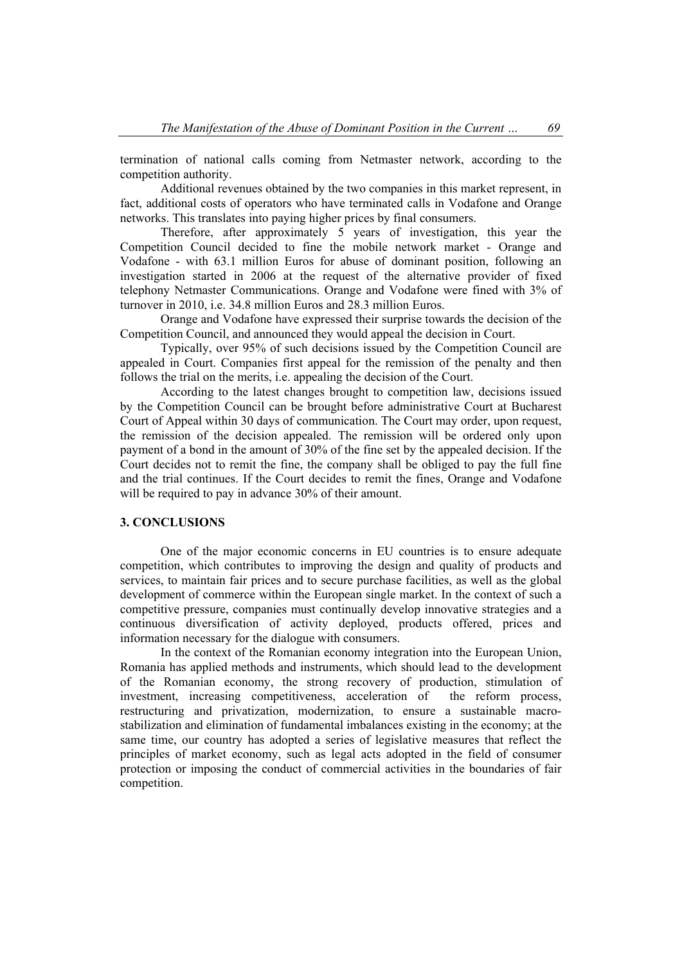termination of national calls coming from Netmaster network, according to the competition authority.

Additional revenues obtained by the two companies in this market represent, in fact, additional costs of operators who have terminated calls in Vodafone and Orange networks. This translates into paying higher prices by final consumers.

Therefore, after approximately 5 years of investigation, this year the Competition Council decided to fine the mobile network market - Orange and Vodafone - with 63.1 million Euros for abuse of dominant position, following an investigation started in 2006 at the request of the alternative provider of fixed telephony Netmaster Communications. Orange and Vodafone were fined with 3% of turnover in 2010, i.e. 34.8 million Euros and 28.3 million Euros.

Orange and Vodafone have expressed their surprise towards the decision of the Competition Council, and announced they would appeal the decision in Court.

Typically, over 95% of such decisions issued by the Competition Council are appealed in Court. Companies first appeal for the remission of the penalty and then follows the trial on the merits, i.e. appealing the decision of the Court.

According to the latest changes brought to competition law, decisions issued by the Competition Council can be brought before administrative Court at Bucharest Court of Appeal within 30 days of communication. The Court may order, upon request, the remission of the decision appealed. The remission will be ordered only upon payment of a bond in the amount of 30% of the fine set by the appealed decision. If the Court decides not to remit the fine, the company shall be obliged to pay the full fine and the trial continues. If the Court decides to remit the fines, Orange and Vodafone will be required to pay in advance 30% of their amount.

## **3. CONCLUSIONS**

One of the major economic concerns in EU countries is to ensure adequate competition, which contributes to improving the design and quality of products and services, to maintain fair prices and to secure purchase facilities, as well as the global development of commerce within the European single market. In the context of such a competitive pressure, companies must continually develop innovative strategies and a continuous diversification of activity deployed, products offered, prices and information necessary for the dialogue with consumers.

In the context of the Romanian economy integration into the European Union, Romania has applied methods and instruments, which should lead to the development of the Romanian economy, the strong recovery of production, stimulation of investment, increasing competitiveness, acceleration of the reform process, restructuring and privatization, modernization, to ensure a sustainable macrostabilization and elimination of fundamental imbalances existing in the economy; at the same time, our country has adopted a series of legislative measures that reflect the principles of market economy, such as legal acts adopted in the field of consumer protection or imposing the conduct of commercial activities in the boundaries of fair competition.